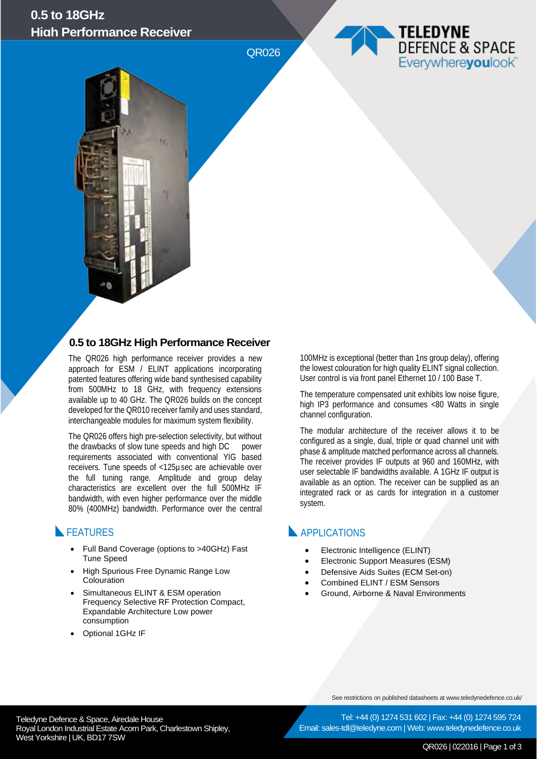# **0.5 to 18GHz High Performance Receiver**

QR026





## **0.5 to 18GHz High Performance Receiver**

The QR026 high performance receiver provides a new approach for ESM / ELINT applications incorporating patented features offering wide band synthesised capability from 500MHz to 18 GHz, with frequency extensions available up to 40 GHz. The QR026 builds on the concept developed for the QR010 receiver family and uses standard, interchangeable modules for maximum system flexibility.

The QR026 offers high pre-selection selectivity, but without the drawbacks of slow tune speeds and high DC power requirements associated with conventional YIG based receivers. Tune speeds of <125µsec are achievable over the full tuning range. Amplitude and group delay characteristics are excellent over the full 500MHz IF bandwidth, with even higher performance over the middle 80% (400MHz) bandwidth. Performance over the central

## **FEATURES**

- Full Band Coverage (options to >40GHz) Fast Tune Speed
- High Spurious Free Dynamic Range Low Colouration
- Simultaneous ELINT & ESM operation Frequency Selective RF Protection Compact, Expandable Architecture Low power consumption
- Optional 1GHz IF

100MHz is exceptional (better than 1ns group delay), offering the lowest colouration for high quality ELINT signal collection. User control is via front panel Ethernet 10 / 100 Base T.

The temperature compensated unit exhibits low noise figure, high IP3 performance and consumes <80 Watts in single channel configuration.

The modular architecture of the receiver allows it to be configured as a single, dual, triple or quad channel unit with phase & amplitude matched performance across all channels. The receiver provides IF outputs at 960 and 160MHz, with user selectable IF bandwidths available. A 1GHz IF output is available as an option. The receiver can be supplied as an integrated rack or as cards for integration in a customer system.

## **APPLICATIONS**

- Electronic Intelligence (ELINT)
- Electronic Support Measures (ESM)
- Defensive Aids Suites (ECM Set-on)
- Combined ELINT / ESM Sensors
- Ground, Airborne & Naval Environments

See restrictions on published datasheets at www.teledynedefence.co.uk/

Tel: +44 (0) 1274 531 602 | Fax: +44 (0) 1274 595 724 Email: sales-tdl@teledyne.com | Web: www.teledynedefence.co.uk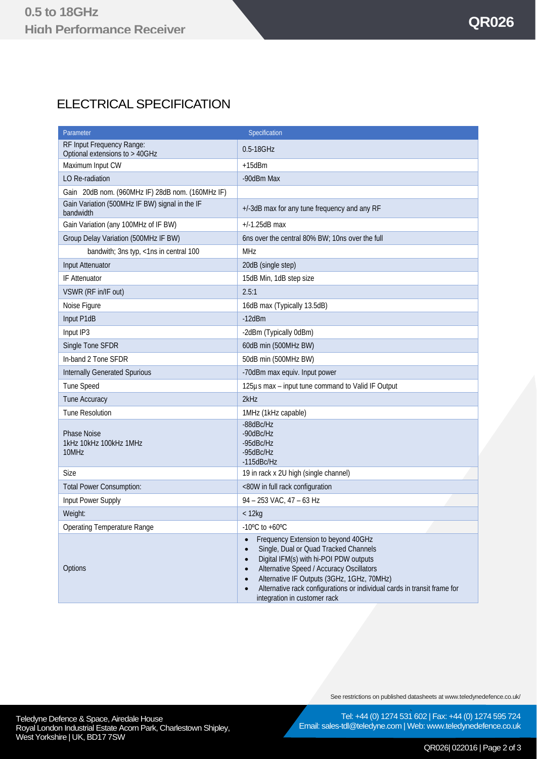# ELECTRICAL SPECIFICATION

| Specification<br>Parameter                                  |                                                                                                                                                                                                                                                                                                                                                                                                                   |
|-------------------------------------------------------------|-------------------------------------------------------------------------------------------------------------------------------------------------------------------------------------------------------------------------------------------------------------------------------------------------------------------------------------------------------------------------------------------------------------------|
| RF Input Frequency Range:<br>Optional extensions to > 40GHz | 0.5-18GHz                                                                                                                                                                                                                                                                                                                                                                                                         |
| Maximum Input CW                                            | $+15$ d $Bm$                                                                                                                                                                                                                                                                                                                                                                                                      |
| LO Re-radiation                                             | -90dBm Max                                                                                                                                                                                                                                                                                                                                                                                                        |
| Gain 20dB nom. (960MHz IF) 28dB nom. (160MHz IF)            |                                                                                                                                                                                                                                                                                                                                                                                                                   |
| Gain Variation (500MHz IF BW) signal in the IF<br>bandwidth | +/-3dB max for any tune frequency and any RF                                                                                                                                                                                                                                                                                                                                                                      |
| Gain Variation (any 100MHz of IF BW)                        | $+/-1.25dB$ max                                                                                                                                                                                                                                                                                                                                                                                                   |
| Group Delay Variation (500MHz IF BW)                        | 6ns over the central 80% BW; 10ns over the full                                                                                                                                                                                                                                                                                                                                                                   |
| bandwith; 3ns typ, <1ns in central 100                      | <b>MHz</b>                                                                                                                                                                                                                                                                                                                                                                                                        |
| Input Attenuator                                            | 20dB (single step)                                                                                                                                                                                                                                                                                                                                                                                                |
| <b>IF Attenuator</b>                                        | 15dB Min, 1dB step size                                                                                                                                                                                                                                                                                                                                                                                           |
| VSWR (RF in/IF out)                                         | 2.5:1                                                                                                                                                                                                                                                                                                                                                                                                             |
| Noise Figure                                                | 16dB max (Typically 13.5dB)                                                                                                                                                                                                                                                                                                                                                                                       |
| Input P1dB                                                  | $-12dBm$                                                                                                                                                                                                                                                                                                                                                                                                          |
| Input IP3                                                   | -2dBm (Typically 0dBm)                                                                                                                                                                                                                                                                                                                                                                                            |
| Single Tone SFDR                                            | 60dB min (500MHz BW)                                                                                                                                                                                                                                                                                                                                                                                              |
| In-band 2 Tone SFDR                                         | 50dB min (500MHz BW)                                                                                                                                                                                                                                                                                                                                                                                              |
| <b>Internally Generated Spurious</b>                        | -70dBm max equiv. Input power                                                                                                                                                                                                                                                                                                                                                                                     |
| <b>Tune Speed</b>                                           | 125µs max - input tune command to Valid IF Output                                                                                                                                                                                                                                                                                                                                                                 |
| Tune Accuracy                                               | 2kHz                                                                                                                                                                                                                                                                                                                                                                                                              |
| <b>Tune Resolution</b>                                      | 1MHz (1kHz capable)                                                                                                                                                                                                                                                                                                                                                                                               |
| <b>Phase Noise</b><br>1kHz 10kHz 100kHz 1MHz<br>10MHz       | -88dBc/Hz<br>-90dBc/Hz<br>-95dBc/Hz<br>-95dBc/Hz<br>$-115$ d $B$ c/Hz                                                                                                                                                                                                                                                                                                                                             |
| Size                                                        | 19 in rack x 2U high (single channel)                                                                                                                                                                                                                                                                                                                                                                             |
| <b>Total Power Consumption:</b>                             | <80W in full rack configuration                                                                                                                                                                                                                                                                                                                                                                                   |
| Input Power Supply                                          | 94 - 253 VAC, 47 - 63 Hz                                                                                                                                                                                                                                                                                                                                                                                          |
| Weight:                                                     | $<$ 12 $kg$                                                                                                                                                                                                                                                                                                                                                                                                       |
| Operating Temperature Range                                 | $-10^{\circ}$ C to $+60^{\circ}$ C                                                                                                                                                                                                                                                                                                                                                                                |
| Options                                                     | Frequency Extension to beyond 40GHz<br>$\bullet$<br>Single, Dual or Quad Tracked Channels<br>$\bullet$<br>Digital IFM(s) with hi-POI PDW outputs<br>$\bullet$<br><b>Alternative Speed / Accuracy Oscillators</b><br>$\bullet$<br>Alternative IF Outputs (3GHz, 1GHz, 70MHz)<br>$\bullet$<br>Alternative rack configurations or individual cards in transit frame for<br>$\bullet$<br>integration in customer rack |

See restrictions on published datasheets at www.teledynedefence.co.uk/